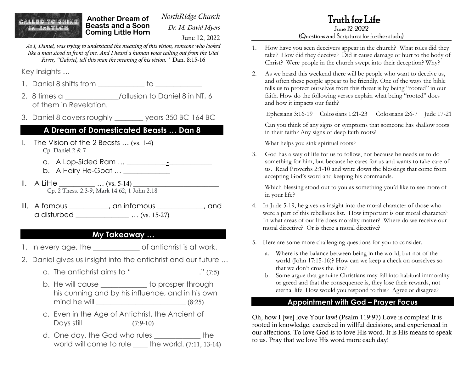# CALLED TO SHINE

**Another Dream of Beasts and a Soon Coming Little Horn** 

*NorthRidge Church Dr. M. David Myers* June 12, 2022 Truth for Life June 12, 2022

#### (Questions and Scriptures for further study)

*As I, Daniel, was trying to understand the meaning of this vision, someone who looked like a man stood in front of me. And I heard a human voice calling out from the Ulai River, "Gabriel, tell this man the meaning of his vision."* Dan. 8:15-16

Key Insights …

- 1. Daniel 8 shifts from \_\_\_\_\_\_\_\_\_\_\_\_\_\_ to
- 2. 8 times a can allusion to Daniel 8 in NT, 6 of them in Revelation.
- 3. Daniel 8 covers roughly \_\_\_\_\_\_\_\_ years 350 BC-164 BC

#### **A Dream of Domesticated Beasts … Dan 8**

- I. The Vision of the 2 Beasts … (vs. 1-4) Cp. Daniel 2 & 7
	- a. A Lop-Sided Ram … \_\_\_\_\_\_\_\_\_\_\_**-**\_\_\_\_\_\_\_\_\_\_\_\_
	- b. A Hairy He-Goat ... \_\_\_\_\_\_\_\_\_\_\_\_
- $II. A Little ... (vs. 5-14)$ Cp. 2 Thess. 2:3-9; Mark 14:62; 1 John 2:18
- III. A famous \_\_\_\_\_\_\_\_\_\_\_, an infamous \_\_\_\_\_\_\_\_\_\_\_\_\_, and a disturbed \_\_\_\_\_\_\_\_\_\_\_\_\_\_\_ … (vs. 15-27)

### **My Takeaway …**

- 1. In every age, the state of antichrist is at work.
- 2. Daniel gives us insight into the antichrist and our future …
	- a. The antichrist aims to "\_\_\_\_\_\_\_\_\_\_\_\_\_\_\_\_\_\_\_." (7:5)
	- b. He will cause \_\_\_\_\_\_\_\_\_\_\_\_\_ to prosper through his cunning and by his influence, and in his own mind he will \_\_\_\_\_\_\_\_\_\_\_\_\_\_\_\_\_\_\_\_\_\_\_\_\_ (8:25)
	- c. Even in the Age of Antichrist, the Ancient of Days still \_\_\_\_\_\_\_\_\_\_\_\_\_ (7:9-10)
	- d. One day, the God who rules \_\_\_\_\_\_\_\_\_\_\_\_\_ the world will come to rule the world. (7:11, 13-14)
- 1. How have you seen deceivers appear in the church? What roles did they take? How did they deceive? Did it cause damage or hurt to the body of Christ? Were people in the church swept into their deception? Why?
- 2. As we heard this weekend there will be people who want to deceive us, and often these people appear to be friendly. One of the ways the bible tells us to protect ourselves from this threat is by being "rooted" in our faith. How do the following verses explain what being "rooted" does and how it impacts our faith?

Ephesians 3:16-19 Colossians 1:21-23 Colossians 2:6-7 Jude 17-21

Can you think of any signs or symptoms that someone has shallow roots in their faith? Any signs of deep faith roots?

What helps you sink spiritual roots?

3. God has a way of life for us to follow, not because he needs us to do something for him, but because he cares for us and wants to take care of us. Read Proverbs 2:1-10 and write down the blessings that come from accepting God's word and keeping his commands.

Which blessing stood out to you as something you'd like to see more of in your life?

- 4. In Jude 5-19, he gives us insight into the moral character of those who were a part of this rebellious list. How important is our moral character? In what areas of our life does morality matter? Where do we receive our moral directive? Or is there a moral directive?
- 5. Here are some more challenging questions for you to consider.
	- a. Where is the balance between being in the world, but not of the world (John 17:15-16)? How can we keep a check on ourselves so that we don't cross the line?
	- b. Some argue that genuine Christians may fall into habitual immorality or greed and that the consequence is, they lose their rewards, not eternal life. How would you respond to this? Agree or disagree?

#### **Appointment with God – Prayer Focus**

Oh, how I [we] love Your law! (Psalm 119:97) Love is complex! It is rooted in knowledge, exercised in willful decisions, and experienced in our affections. To love God is to love His word. It is His means to speak to us. Pray that we love His word more each day!